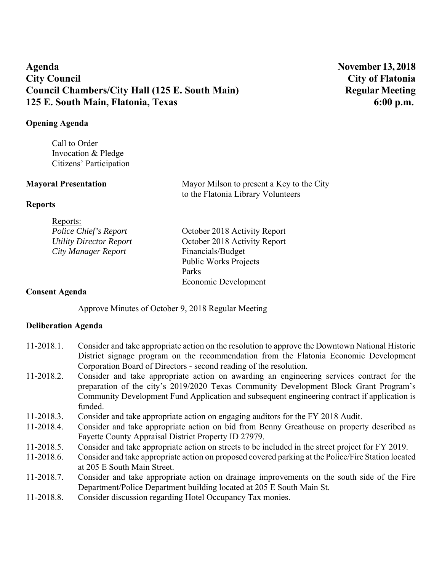# Agenda November 13, 2018 **City Council City of Flatonia**  Council Chambers/City Hall (125 E. South Main) Regular Meeting **125 E. South Main, Flatonia, Texas 6:00 p.m. 6:00 p.m.**

### **Opening Agenda**

Call to Order Invocation & Pledge Citizens' Participation

**Mayoral Presentation** Mayor Milson to present a Key to the City to the Flatonia Library Volunteers

#### **Reports**

| <u>Reports:</u>                |                              |
|--------------------------------|------------------------------|
| Police Chief's Report          | October 2018 Activity Report |
| <b>Utility Director Report</b> | October 2018 Activity Report |
| City Manager Report            | Financials/Budget            |
|                                | <b>Public Works Projects</b> |
|                                | Parks                        |
|                                | Economic Development         |
|                                |                              |

#### **Consent Agenda**

Approve Minutes of October 9, 2018 Regular Meeting

#### **Deliberation Agenda**

- 11-2018.1. Consider and take appropriate action on the resolution to approve the Downtown National Historic District signage program on the recommendation from the Flatonia Economic Development Corporation Board of Directors - second reading of the resolution.
- 11-2018.2. Consider and take appropriate action on awarding an engineering services contract for the preparation of the city's 2019/2020 Texas Community Development Block Grant Program's Community Development Fund Application and subsequent engineering contract if application is funded.
- 11-2018.3. Consider and take appropriate action on engaging auditors for the FY 2018 Audit.
- 11-2018.4. Consider and take appropriate action on bid from Benny Greathouse on property described as Fayette County Appraisal District Property ID 27979.
- 11-2018.5. Consider and take appropriate action on streets to be included in the street project for FY 2019.
- 11-2018.6. Consider and take appropriate action on proposed covered parking at the Police/Fire Station located at 205 E South Main Street.
- 11-2018.7. Consider and take appropriate action on drainage improvements on the south side of the Fire Department/Police Department building located at 205 E South Main St.
- 11-2018.8. Consider discussion regarding Hotel Occupancy Tax monies.